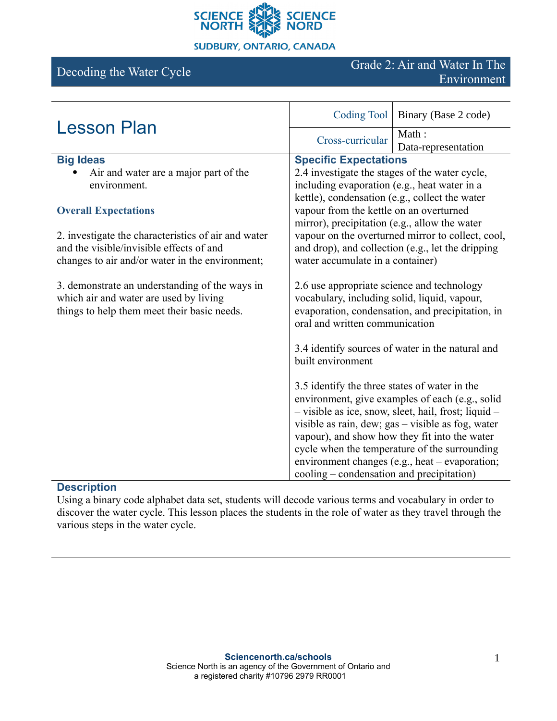

#### **SUDBURY, ONTARIO, CANADA**

# Decoding the Water Cycle Grade 2: Air and Water In The Environment

| <b>Lesson Plan</b>                                                                                                                      | Coding Tool                                                                                                                                                                      | Binary (Base 2 code)                                                                                                                                                                                                                                                                                             |
|-----------------------------------------------------------------------------------------------------------------------------------------|----------------------------------------------------------------------------------------------------------------------------------------------------------------------------------|------------------------------------------------------------------------------------------------------------------------------------------------------------------------------------------------------------------------------------------------------------------------------------------------------------------|
|                                                                                                                                         | Cross-curricular                                                                                                                                                                 | Math:<br>Data-representation                                                                                                                                                                                                                                                                                     |
| <b>Big Ideas</b>                                                                                                                        | <b>Specific Expectations</b>                                                                                                                                                     |                                                                                                                                                                                                                                                                                                                  |
| Air and water are a major part of the                                                                                                   | 2.4 investigate the stages of the water cycle,<br>including evaporation (e.g., heat water in a                                                                                   |                                                                                                                                                                                                                                                                                                                  |
| environment.                                                                                                                            |                                                                                                                                                                                  |                                                                                                                                                                                                                                                                                                                  |
|                                                                                                                                         | kettle), condensation (e.g., collect the water                                                                                                                                   |                                                                                                                                                                                                                                                                                                                  |
| <b>Overall Expectations</b>                                                                                                             | vapour from the kettle on an overturned                                                                                                                                          |                                                                                                                                                                                                                                                                                                                  |
|                                                                                                                                         | mirror), precipitation (e.g., allow the water                                                                                                                                    |                                                                                                                                                                                                                                                                                                                  |
| 2. investigate the characteristics of air and water                                                                                     | vapour on the overturned mirror to collect, cool,                                                                                                                                |                                                                                                                                                                                                                                                                                                                  |
| and the visible/invisible effects of and                                                                                                | and drop), and collection (e.g., let the dripping<br>water accumulate in a container)                                                                                            |                                                                                                                                                                                                                                                                                                                  |
| changes to air and/or water in the environment;                                                                                         |                                                                                                                                                                                  |                                                                                                                                                                                                                                                                                                                  |
|                                                                                                                                         |                                                                                                                                                                                  |                                                                                                                                                                                                                                                                                                                  |
| 3. demonstrate an understanding of the ways in<br>which air and water are used by living<br>things to help them meet their basic needs. | 2.6 use appropriate science and technology<br>vocabulary, including solid, liquid, vapour,<br>evaporation, condensation, and precipitation, in<br>oral and written communication |                                                                                                                                                                                                                                                                                                                  |
|                                                                                                                                         | built environment                                                                                                                                                                | 3.4 identify sources of water in the natural and                                                                                                                                                                                                                                                                 |
|                                                                                                                                         | 3.5 identify the three states of water in the<br>cooling – condensation and precipitation)                                                                                       | environment, give examples of each (e.g., solid<br>- visible as ice, snow, sleet, hail, frost; liquid -<br>visible as rain, dew; gas - visible as fog, water<br>vapour), and show how they fit into the water<br>cycle when the temperature of the surrounding<br>environment changes (e.g., heat – evaporation; |

### **Description**

Using a binary code alphabet data set, students will decode various terms and vocabulary in order to discover the water cycle. This lesson places the students in the role of water as they travel through the various steps in the water cycle.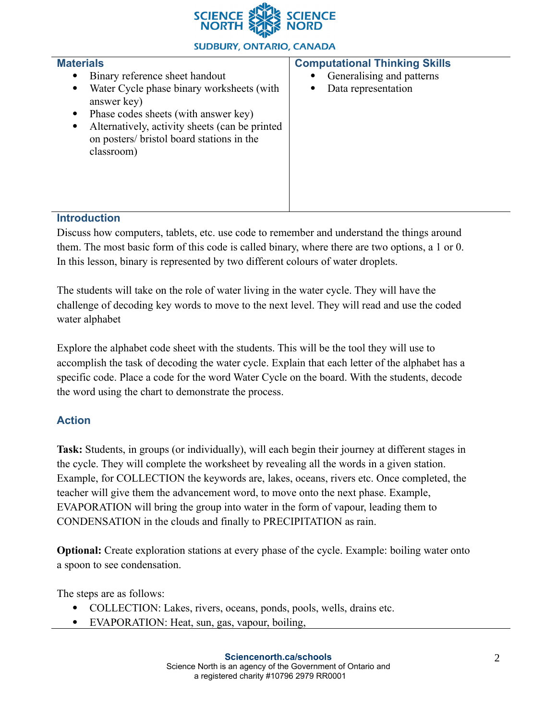

#### **SUDBURY, ONTARIO, CANADA**

| <b>Materials</b><br>Binary reference sheet handout<br>٠<br>Water Cycle phase binary worksheets (with<br>$\bullet$<br>answer key)<br>Phase codes sheets (with answer key)<br>$\bullet$<br>Alternatively, activity sheets (can be printed<br>$\bullet$<br>on posters/ bristol board stations in the<br>classroom) | <b>Computational Thinking Skills</b><br>Generalising and patterns<br>Data representation |
|-----------------------------------------------------------------------------------------------------------------------------------------------------------------------------------------------------------------------------------------------------------------------------------------------------------------|------------------------------------------------------------------------------------------|
| Intendication                                                                                                                                                                                                                                                                                                   |                                                                                          |

#### **Introduction**

Discuss how computers, tablets, etc. use code to remember and understand the things around them. The most basic form of this code is called binary, where there are two options, a 1 or 0. In this lesson, binary is represented by two different colours of water droplets.

The students will take on the role of water living in the water cycle. They will have the challenge of decoding key words to move to the next level. They will read and use the coded water alphabet

Explore the alphabet code sheet with the students. This will be the tool they will use to accomplish the task of decoding the water cycle. Explain that each letter of the alphabet has a specific code. Place a code for the word Water Cycle on the board. With the students, decode the word using the chart to demonstrate the process.

## **Action**

**Task:** Students, in groups (or individually), will each begin their journey at different stages in the cycle. They will complete the worksheet by revealing all the words in a given station. Example, for COLLECTION the keywords are, lakes, oceans, rivers etc. Once completed, the teacher will give them the advancement word, to move onto the next phase. Example, EVAPORATION will bring the group into water in the form of vapour, leading them to CONDENSATION in the clouds and finally to PRECIPITATION as rain.

**Optional:** Create exploration stations at every phase of the cycle. Example: boiling water onto a spoon to see condensation.

The steps are as follows:

- COLLECTION: Lakes, rivers, oceans, ponds, pools, wells, drains etc.
- EVAPORATION: Heat, sun, gas, vapour, boiling,